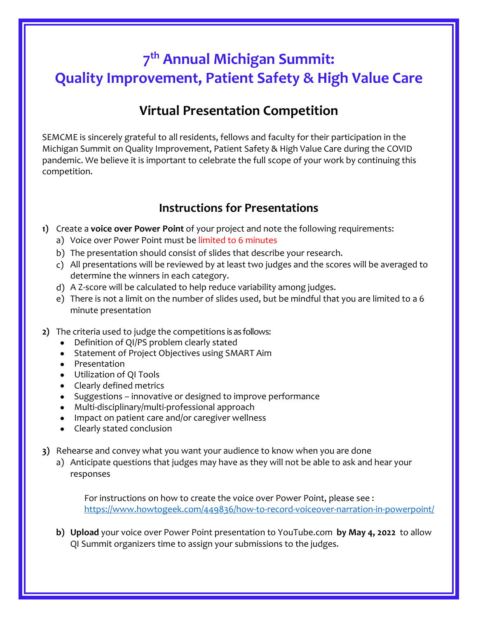## **7 th Annual Michigan Summit: Quality Improvement, Patient Safety & High Value Care**

## **Virtual Presentation Competition**

SEMCME is sincerely grateful to all residents, fellows and faculty for their participation in the Michigan Summit on Quality Improvement, Patient Safety & High Value Care during the COVID pandemic. We believe it is important to celebrate the full scope of your work by continuing this competition.

## **Instructions for Presentations**

- **1)** Create a **voice over Power Point** of your project and note the following requirements:
	- a) Voice over Power Point must be limited to 6 minutes
	- b) The presentation should consist of slides that describe your research.
	- c) All presentations will be reviewed by at least two judges and the scores will be averaged to determine the winners in each category.
	- d) A Z-score will be calculated to help reduce variability among judges.
	- e) There is not a limit on the number of slides used, but be mindful that you are limited to a 6 minute presentation
- **2)** The criteria used to judge the competitions is as follows:
	- Definition of QI/PS problem clearly stated
	- Statement of Project Objectives using SMART Aim
	- Presentation
	- Utilization of QI Tools
	- Clearly defined metrics
	- Suggestions innovative or designed to improve performance
	- Multi-disciplinary/multi-professional approach
	- Impact on patient care and/or caregiver wellness
	- Clearly stated conclusion
- **3)** Rehearse and convey what you want your audience to know when you are done
	- a) Anticipate questions that judges may have as they will not be able to ask and hear your responses

For instructions on how to create the voice over Power Point, please see : <https://www.howtogeek.com/449836/how-to-record-voiceover-narration-in-powerpoint/>

**b) Upload** your voice over Power Point presentation to YouTube.com **by May 4, 2022** to allow QI Summit organizers time to assign your submissions to the judges.